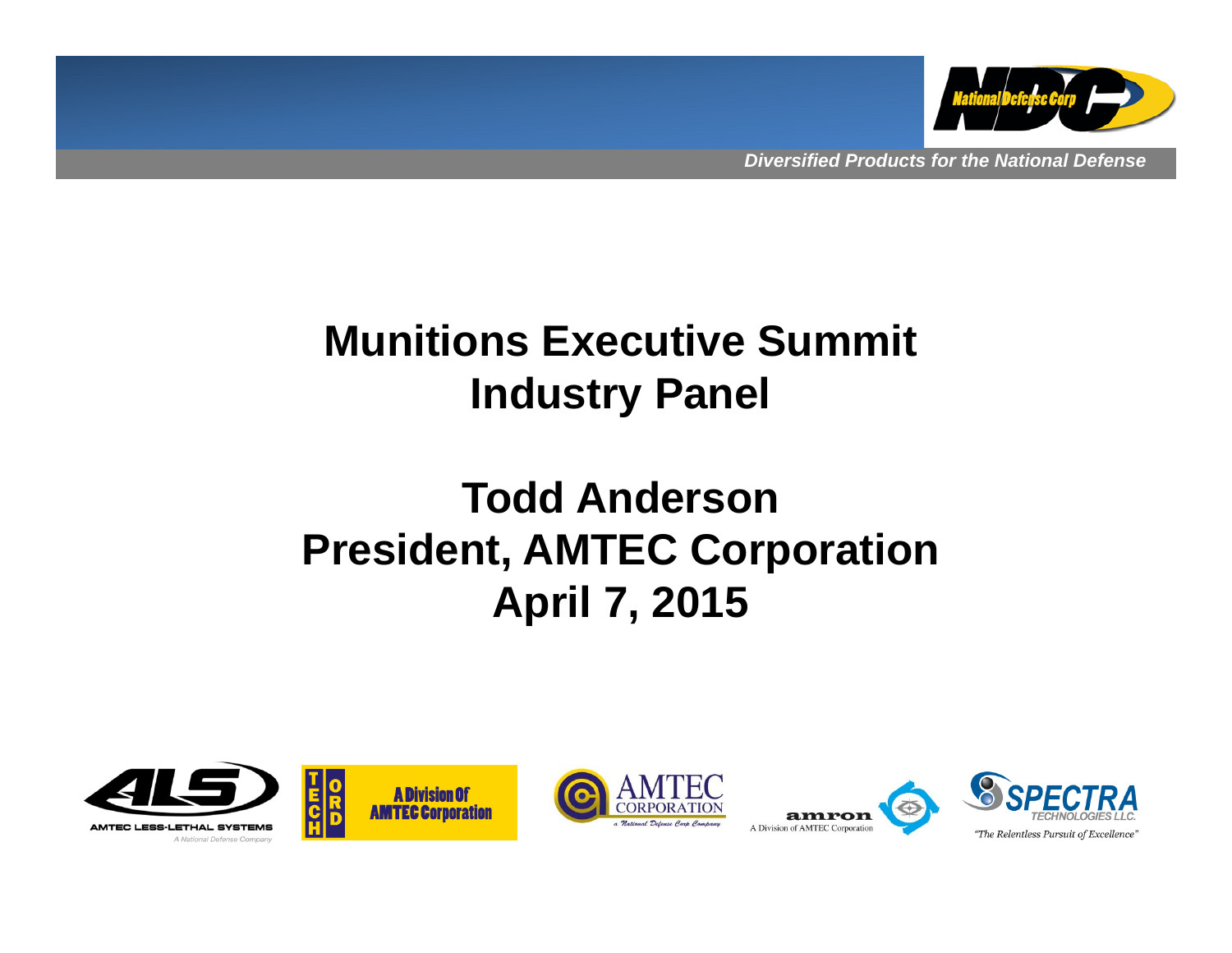

*Diversified Products for the National Defense*

### **Munitions Executive Summit Industry Panel**

# **Todd AndersonPresident, AMTEC Corporation April 7, 2015**









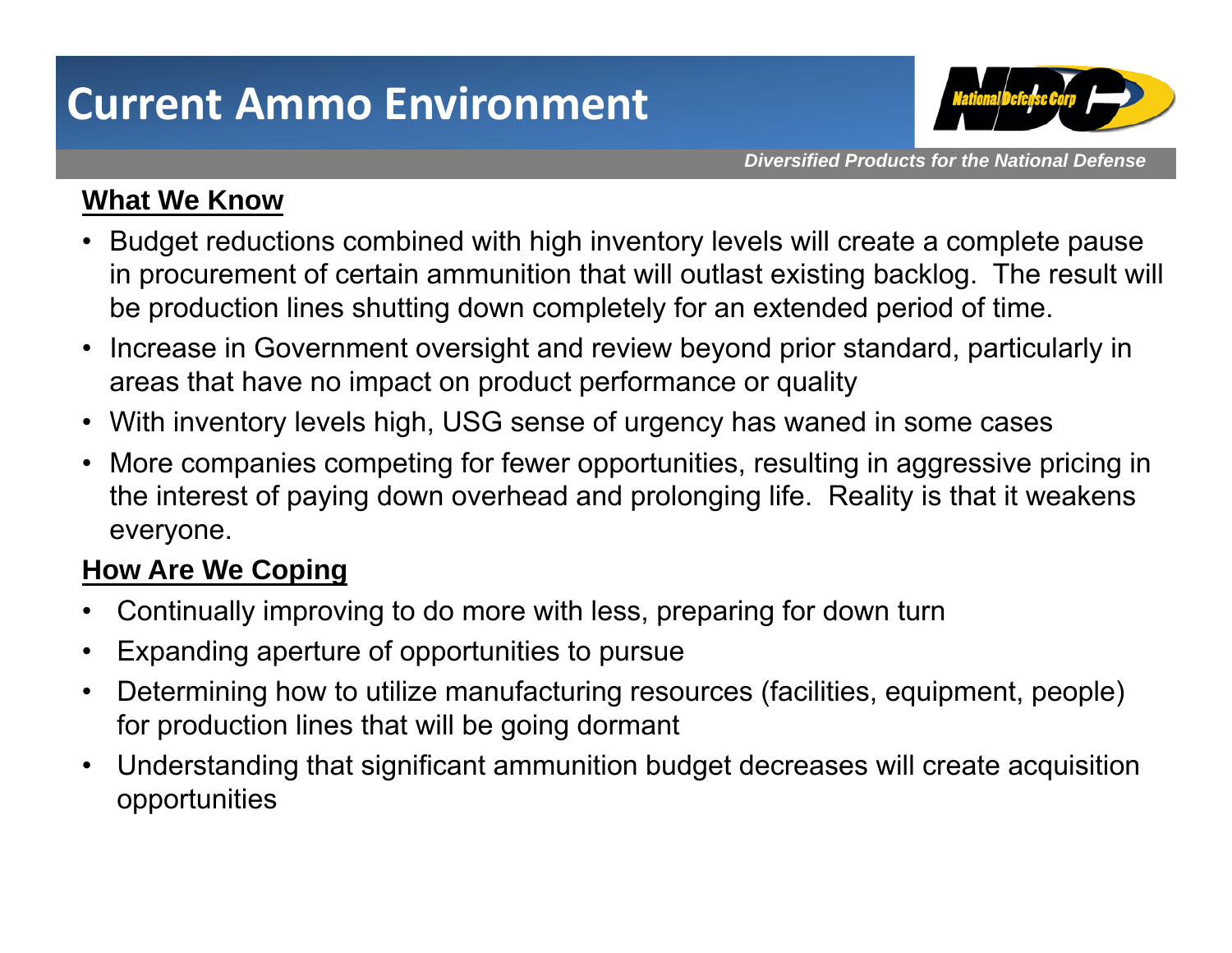# **Current Ammo Environment**



*Diversified Products for the National Defense*

#### **What We Know**

- Budget reductions combined with high inventory levels will create a complete pause in procurement of certain ammunition that will outlast existing backlog. The result will be production lines shutting down completely for an extended period of time.
- Increase in Government oversight and review beyond prior standard, particularly in areas that have no impact on product performance or quality
- With inventory levels high, USG sense of urgency has waned in some cases
- More companies competing for fewer opportunities, resulting in aggressive pricing in the interest of paying down overhead and prolonging life. Reality is that it weakens everyone.

#### **How Are We Coping**

- •Continually improving to do more with less, preparing for down turn
- •Expanding aperture of opportunities to pursue
- $\bullet$  Determining how to utilize manufacturing resources (facilities, equipment, people) for production lines that will be going dormant
- • Understanding that significant ammunition budget decreases will create acquisition opportunities